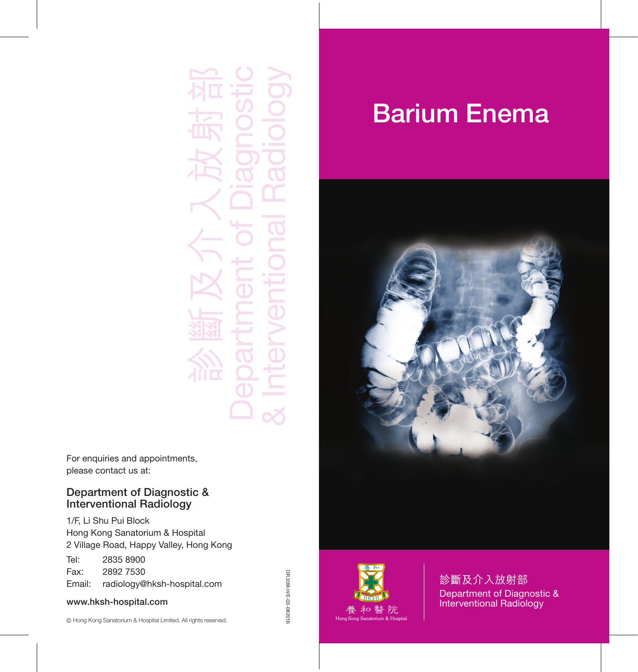診斷及介入放射部 Department of Diagnostic & Interventional Radiology

For enquiries and appointments, please contact us at:

#### Department of Diagnostic & Interventional Radiology

1/F, Li Shu Pui Block Hong Kong Sanatorium & Hospital 2 Village Road, Happy Valley, Hong Kong

Tel: 2835 8900 Fax: 2892 7530 Email: radiology@hksh-hospital.com

#### www.hksh-hospital.com

# Barium Enema





診斷及介入放射部 Department of Diagnostic & Interventional Radiology